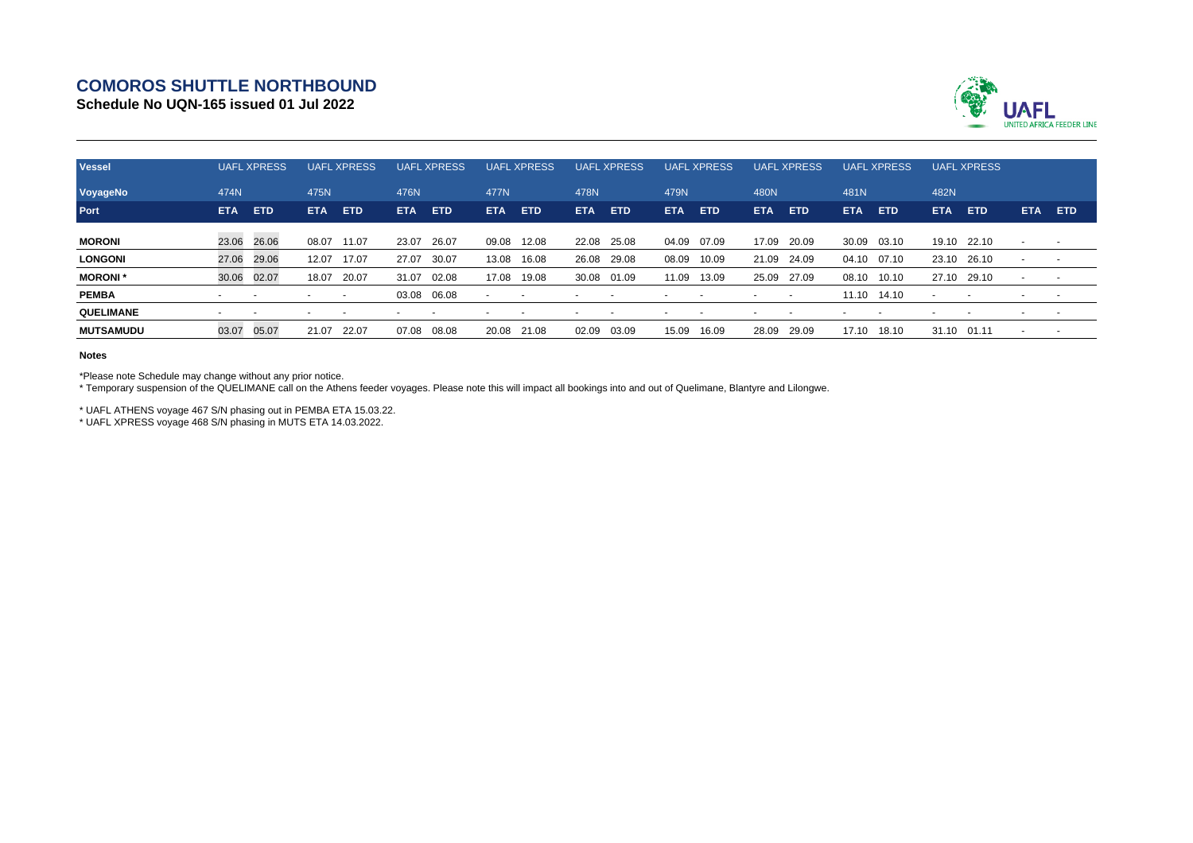## **COMOROS SHUTTLE NORTHBOUND**

**Schedule No UQN-165 issued 01 Jul 2022**



| <b>Vessel</b>    | <b>UAFL XPRESS</b>       |            | <b>UAFL XPRESS</b> |                          | <b>UAFL XPRESS</b> |            | <b>UAFL XPRESS</b> |            | <b>UAFL XPRESS</b> |            | <b>UAFL XPRESS</b> |            | <b>UAFL XPRESS</b> |                          | <b>UAFL XPRESS</b> |            | <b>UAFL XPRESS</b> |       |                          |                          |
|------------------|--------------------------|------------|--------------------|--------------------------|--------------------|------------|--------------------|------------|--------------------|------------|--------------------|------------|--------------------|--------------------------|--------------------|------------|--------------------|-------|--------------------------|--------------------------|
| VoyageNo         | 474N                     |            | 475N               |                          | 476N               |            | 477N               |            | 478N               |            | 479N               |            | 480N               |                          | 481N               |            | 482N               |       |                          |                          |
| Port             | <b>ETA</b>               | <b>ETD</b> | ETA.               | <b>ETD</b>               | <b>ETA</b>         | <b>ETD</b> | <b>ETA</b>         | <b>ETD</b> | <b>ETA</b>         | <b>ETD</b> | ETA.               | <b>ETD</b> | ETA                | <b>ETD</b>               | ETA.               | <b>ETD</b> | <b>ETA</b>         | ETD   | ETA.                     | <b>ETD</b>               |
| <b>MORONI</b>    | 23.06 26.06              |            | 08.07              | 11.07                    | 23.07              | 26.07      | 09.08              | 12.08      | 22.08              | 25.08      | 04.09              | 07.09      | 17.09              | 20.09                    | 30.09              | 03.10      | 19.10 22.10        |       | $\overline{\phantom{a}}$ |                          |
| <b>LONGONI</b>   | 27.06                    | 29.06      | 12.07              | 17.07                    | 27.07              | 30.07      | 13.08              | 16.08      | 26.08              | 29.08      | 08.09              | 10.09      | 21.09              | 24.09                    | 04.10 07.10        |            | 23.10 26.10        |       | $\overline{\phantom{0}}$ |                          |
| <b>MORONI</b> *  | 30.06                    | 02.07      | 18.07              | 20.07                    | 31.07              | 02.08      | 17.08              | 19.08      | 30.08              | 01.09      | 11.09              | 13.09      | 25.09              | 27.09                    | 08.10              | 10.10      | 27.10              | 29.10 | $\overline{\phantom{0}}$ | $\sim$                   |
| <b>PEMBA</b>     |                          |            |                    | $\overline{\phantom{a}}$ | 03.08 06.08        |            |                    |            |                    |            |                    |            |                    | $\overline{\phantom{a}}$ | 11.10 14.10        |            |                    |       |                          | $\sim$                   |
| <b>QUELIMANE</b> | $\overline{\phantom{0}}$ |            |                    |                          |                    |            |                    |            |                    |            |                    |            |                    |                          |                    |            |                    |       |                          | $\overline{\phantom{a}}$ |
| <b>MUTSAMUDU</b> | 03.07                    | 05.07      | 21.07              | 22.07                    | 07.08              | 08.08      | 20.08              | 21.08      | 02.09              | 03.09      | 15.09              | 16.09      | 28.09              | 29.09                    | 17.10              | 18.10      | 31.10              | 01.11 | $\overline{\phantom{a}}$ |                          |

## **Notes**

\*Please note Schedule may change without any prior notice.

\* Temporary suspension of the QUELIMANE call on the Athens feeder voyages. Please note this will impact all bookings into and out of Quelimane, Blantyre and Lilongwe.

\* UAFL ATHENS voyage 467 S/N phasing out in PEMBA ETA 15.03.22.

\* UAFL XPRESS voyage 468 S/N phasing in MUTS ETA 14.03.2022.